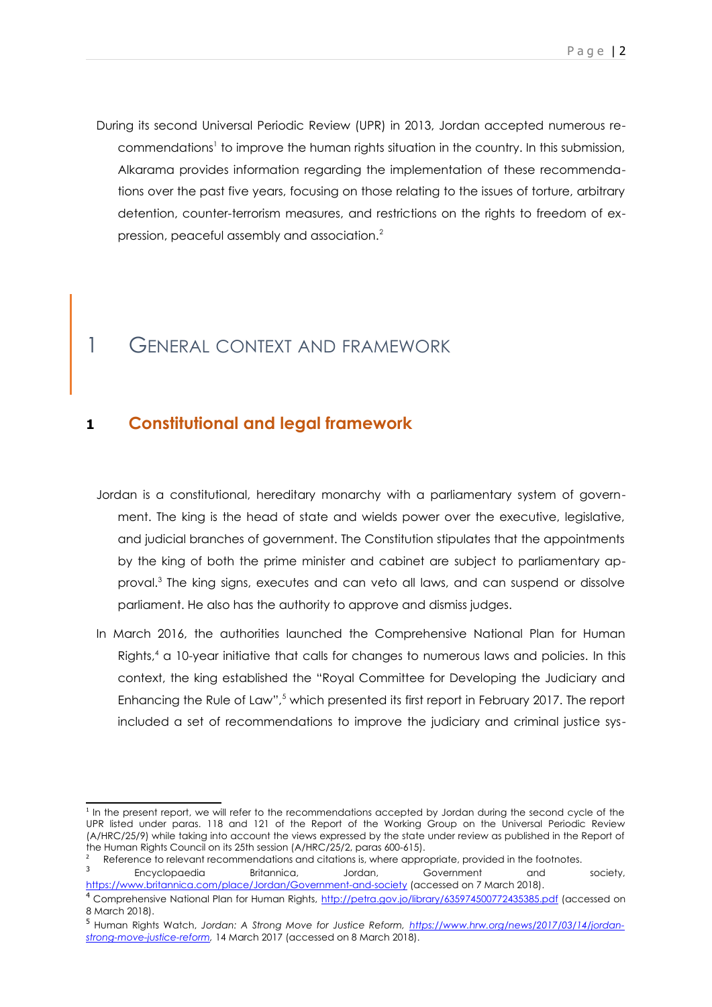During its second Universal Periodic Review (UPR) in 2013, Jordan accepted numerous re-commendations<sup>[1](#page-0-0)</sup> to improve the human rights situation in the country. In this submission, Alkarama provides information regarding the implementation of these recommendations over the past five years, focusing on those relating to the issues of torture, arbitrary detention, counter-terrorism measures, and restrictions on the rights to freedom of expression, peaceful assembly and association.[2](#page-0-1)

## 1 GENERAL CONTEXT AND FRAMEWORK

#### **1 Constitutional and legal framework**

- Jordan is a constitutional, hereditary monarchy with a parliamentary system of government. The king is the head of state and wields power over the executive, legislative, and judicial branches of government. The Constitution stipulates that the appointments by the king of both the prime minister and cabinet are subject to parliamentary ap-proval.<sup>[3](#page-0-2)</sup> The king signs, executes and can veto all laws, and can suspend or dissolve parliament. He also has the authority to approve and dismiss judges.
- In March 2016, the authorities launched the Comprehensive National Plan for Human Rights,<sup>[4](#page-0-3)</sup> a 10-year initiative that calls for changes to numerous laws and policies. In this context, the king established the "Royal Committee for Developing the Judiciary and Enhancing the Rule of Law",<sup>[5](#page-0-4)</sup> which presented its first report in February 2017. The report included a set of recommendations to improve the judiciary and criminal justice sys-

<span id="page-0-0"></span><sup>&</sup>lt;sup>1</sup> In the present report, we will refer to the recommendations accepted by Jordan during the second cycle of the UPR listed under paras. 118 and 121 of the Report of the Working Group on the Universal Periodic Review (A/HRC/25/9) while taking into account the views expressed by the state under review as published in the Report of the Human Rights Council on its 25th session (A/HRC/25/2, paras 600-615).

<span id="page-0-2"></span><span id="page-0-1"></span>Reference to relevant recommendations and citations is, where appropriate, provided in the footnotes. 3 Encyclopaedia Britannica, Jordan, Government and society,

<https://www.britannica.com/place/Jordan/Government-and-society> (accessed on 7 March 2018).

<span id="page-0-3"></span><sup>&</sup>lt;sup>4</sup> Comprehensive National Plan for Human Rights,<http://petra.gov.jo/library/635974500772435385.pdf>(accessed on 8 March 2018).

<span id="page-0-4"></span><sup>5</sup> Human Rights Watch, *Jordan: A Strong Move for Justice Reform, [https://www.hrw.org/news/2017/03/14/jordan](https://www.hrw.org/news/2017/03/14/jordan-strong-move-justice-reform)[strong-move-justice-reform,](https://www.hrw.org/news/2017/03/14/jordan-strong-move-justice-reform)* 14 March 2017 (accessed on 8 March 2018).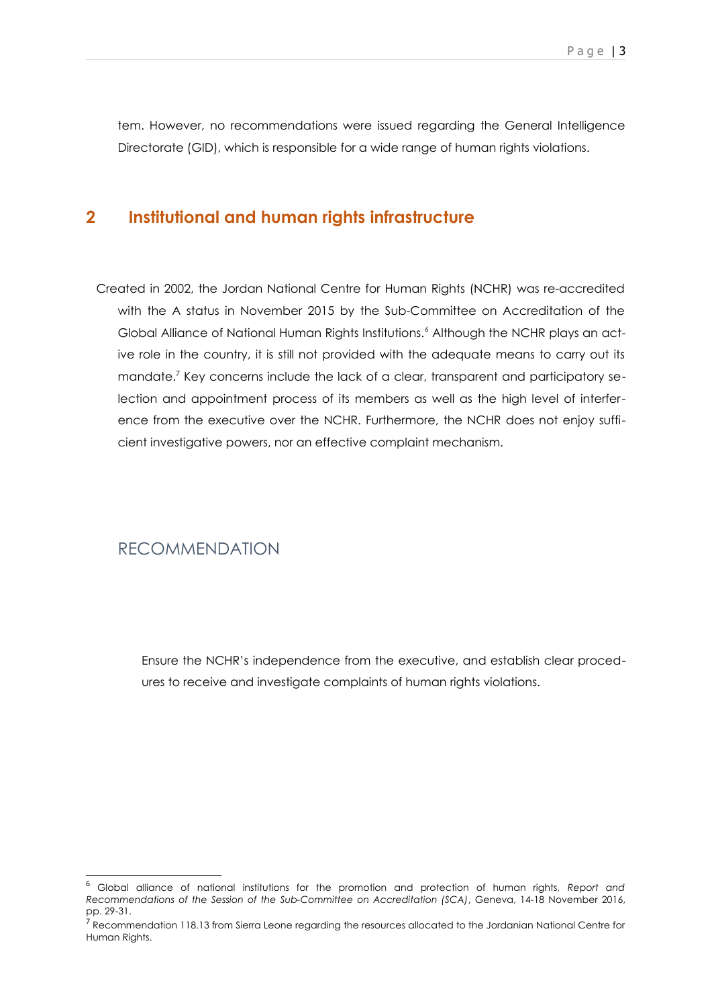tem. However, no recommendations were issued regarding the General Intelligence Directorate (GID), which is responsible for a wide range of human rights violations.

#### **2 Institutional and human rights infrastructure**

Created in 2002, the Jordan National Centre for Human Rights (NCHR) was re-accredited with the A status in November 2015 by the Sub-Committee on Accreditation of the Global Alliance of National Human Rights Institutions.<sup>[6](#page-1-0)</sup> Although the NCHR plays an active role in the country, it is still not provided with the adequate means to carry out its mandate.<sup>[7](#page-1-1)</sup> Key concerns include the lack of a clear, transparent and participatory selection and appointment process of its members as well as the high level of interference from the executive over the NCHR. Furthermore, the NCHR does not enjoy sufficient investigative powers, nor an effective complaint mechanism.

#### RECOMMENDATION

Ensure the NCHR's independence from the executive, and establish clear procedures to receive and investigate complaints of human rights violations.

<span id="page-1-0"></span><sup>6</sup> Global alliance of national institutions for the promotion and protection of human rights, *Report and Recommendations of the Session of the Sub-Committee on Accreditation (SCA)*, Geneva, 14-18 November 2016, pp. 29-31.

<span id="page-1-1"></span><sup>&</sup>lt;sup>7</sup> Recommendation 118.13 from Sierra Leone regarding the resources allocated to the Jordanian National Centre for Human Rights.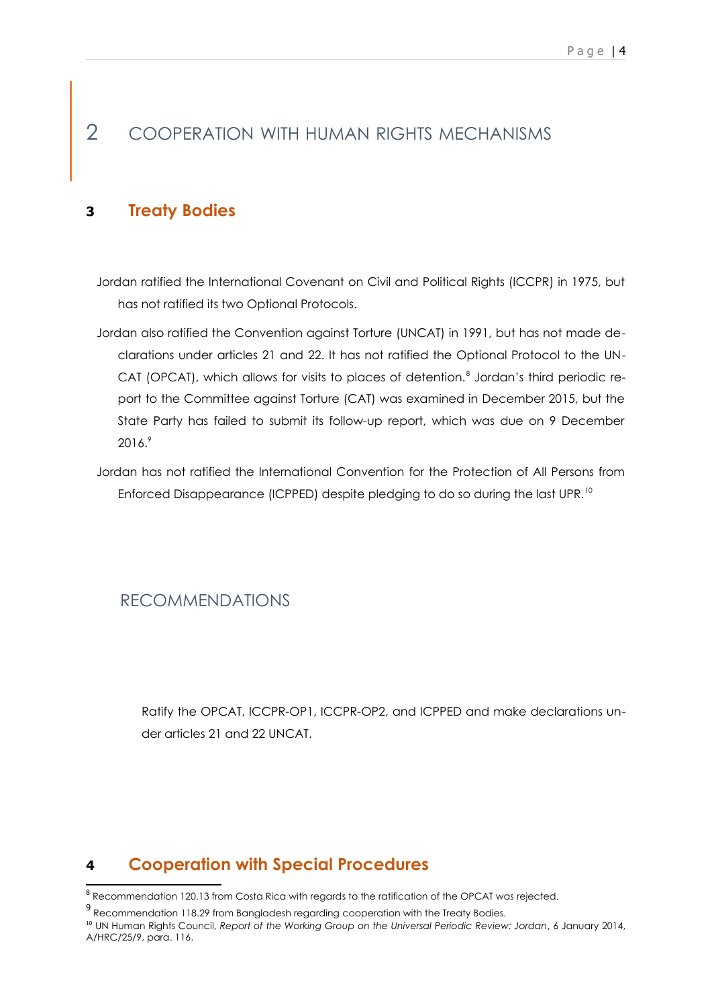## 2 COOPERATION WITH HUMAN RIGHTS MECHANISMS

#### **3 Treaty Bodies**

Jordan ratified the International Covenant on Civil and Political Rights (ICCPR) in 1975, but has not ratified its two Optional Protocols.

Jordan also ratified the Convention against Torture (UNCAT) in 1991, but has not made declarations under articles 21 and 22. It has not ratified the Optional Protocol to the UN-CAT (OPCAT), which allows for visits to places of detention.<sup>[8](#page-2-0)</sup> Jordan's third periodic report to the Committee against Torture (CAT) was examined in December 2015, but the State Party has failed to submit its follow-up report, which was due on 9 December 2016.[9](#page-2-1)

Jordan has not ratified the International Convention for the Protection of All Persons from Enforced Disappearance (ICPPED) despite pledging to do so during the last UPR.<sup>[10](#page-2-2)</sup>

#### RECOMMENDATIONS

Ratify the OPCAT, ICCPR-OP1, ICCPR-OP2, and ICPPED and make declarations under articles 21 and 22 UNCAT.

#### **4 Cooperation with Special Procedures**

<span id="page-2-0"></span> $^8$  Recommendation 120.13 from Costa Rica with regards to the ratification of the OPCAT was rejected.

<span id="page-2-1"></span><sup>&</sup>lt;sup>9</sup> Recommendation 118.29 from Bangladesh regarding cooperation with the Treaty Bodies.

<span id="page-2-2"></span><sup>10</sup> UN Human Rights Council, *Report of the Working Group on the Universal Periodic Review: Jordan*, 6 January 2014, A/HRC/25/9, para. 116.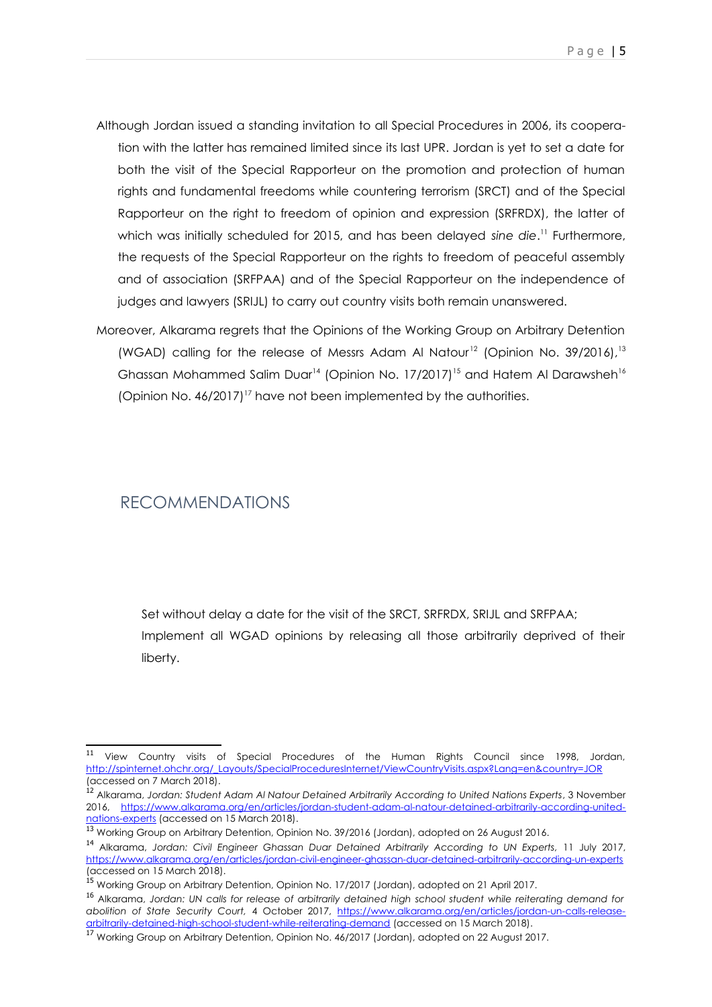- Although Jordan issued a standing invitation to all Special Procedures in 2006, its cooperation with the latter has remained limited since its last UPR. Jordan is yet to set a date for both the visit of the Special Rapporteur on the promotion and protection of human rights and fundamental freedoms while countering terrorism (SRCT) and of the Special Rapporteur on the right to freedom of opinion and expression (SRFRDX), the latter of which was initially scheduled for 2015, and has been delayed *sine die*. [11](#page-3-0) Furthermore, the requests of the Special Rapporteur on the rights to freedom of peaceful assembly and of association (SRFPAA) and of the Special Rapporteur on the independence of judges and lawyers (SRIJL) to carry out country visits both remain unanswered.
- Moreover, Alkarama regrets that the Opinions of the Working Group on Arbitrary Detention (WGAD) calling for the release of Messrs Adam Al Natour<sup>[12](#page-3-1)</sup> (Opinion No. 39/2016).<sup>[13](#page-3-2)</sup> Ghassan Mohammed Salim Duar<sup>[14](#page-3-3)</sup> (Opinion No. 17/2017)<sup>[15](#page-3-4)</sup> and Hatem Al Darawsheh<sup>[16](#page-3-5)</sup> (Opinion No. 46/2017) [17](#page-3-6) have not been implemented by the authorities.

#### RECOMMENDATIONS

Set without delay a date for the visit of the SRCT, SRFRDX, SRIJL and SRFPAA; Implement all WGAD opinions by releasing all those arbitrarily deprived of their liberty.

<span id="page-3-0"></span><sup>&</sup>lt;sup>11</sup> View Country visits of Special Procedures of the Human Rights Council since 1998, Jordan, [http://spinternet.ohchr.org/\\_Layouts/SpecialProceduresInternet/ViewCountryVisits.aspx?Lang=en&country=JOR](http://spinternet.ohchr.org/_Layouts/SpecialProceduresInternet/ViewCountryVisits.aspx?Lang=en&country=JOR) (accessed on 7 March 2018).

<span id="page-3-1"></span><sup>12</sup> Alkarama, *Jordan: Student Adam Al Natour Detained Arbitrarily According to United Nations Experts*, 3 November 2016, [https://www.alkarama.org/en/articles/jordan-student-adam-al-natour-detained-arbitrarily-according-united](https://www.alkarama.org/en/articles/jordan-student-adam-al-natour-detained-arbitrarily-according-united-nations-experts)[nations-experts](https://www.alkarama.org/en/articles/jordan-student-adam-al-natour-detained-arbitrarily-according-united-nations-experts) (accessed on 15 March 2018).

<span id="page-3-2"></span><sup>&</sup>lt;sup>13</sup> Working Group on Arbitrary Detention, Opinion No. 39/2016 (Jordan), adopted on 26 August 2016.

<span id="page-3-3"></span><sup>14</sup> Alkarama, *Jordan: Civil Engineer Ghassan Duar Detained Arbitrarily According to UN Experts,* 11 July 2017, <https://www.alkarama.org/en/articles/jordan-civil-engineer-ghassan-duar-detained-arbitrarily-according-un-experts> (accessed on 15 March 2018).

<span id="page-3-4"></span><sup>&</sup>lt;sup>15</sup> Working Group on Arbitrary Detention, Opinion No. 17/2017 (Jordan), adopted on 21 April 2017.

<span id="page-3-5"></span><sup>16</sup> Alkarama, *Jordan: UN calls for release of arbitrarily detained high school student while reiterating demand for abolition of State Security Court,* 4 October 2017, [https://www.alkarama.org/en/articles/jordan-un-calls-release](https://www.alkarama.org/en/articles/jordan-un-calls-release-arbitrarily-detained-high-school-student-while-reiterating-demand)[arbitrarily-detained-high-school-student-while-reiterating-demand](https://www.alkarama.org/en/articles/jordan-un-calls-release-arbitrarily-detained-high-school-student-while-reiterating-demand) (accessed on 15 March 2018).

<span id="page-3-6"></span><sup>&</sup>lt;sup>17</sup> Working Group on Arbitrary Detention, Opinion No. 46/2017 (Jordan), adopted on 22 August 2017.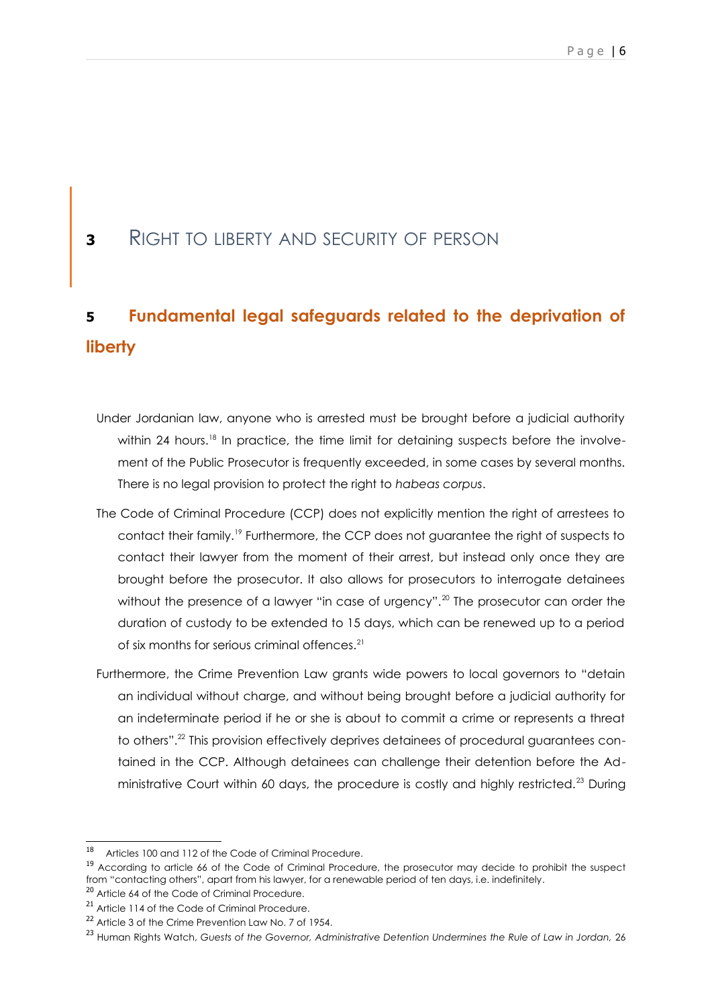### **<sup>3</sup>** RIGHT TO LIBERTY AND SECURITY OF PERSON

## **5 Fundamental legal safeguards related to the deprivation of liberty**

- Under Jordanian law, anyone who is arrested must be brought before a judicial authority within 24 hours.<sup>[18](#page-4-0)</sup> In practice, the time limit for detaining suspects before the involvement of the Public Prosecutor is frequently exceeded, in some cases by several months. There is no legal provision to protect the right to *habeas corpus*.
- The Code of Criminal Procedure (CCP) does not explicitly mention the right of arrestees to contact their family.<sup>[19](#page-4-1)</sup> Furthermore, the CCP does not guarantee the right of suspects to contact their lawyer from the moment of their arrest, but instead only once they are brought before the prosecutor. It also allows for prosecutors to interrogate detainees without the presence of a lawyer "in case of urgency".<sup>[20](#page-4-2)</sup> The prosecutor can order the duration of custody to be extended to 15 days, which can be renewed up to a period of six months for serious criminal offences.<sup>[21](#page-4-3)</sup>
- Furthermore, the Crime Prevention Law grants wide powers to local governors to "detain an individual without charge, and without being brought before a judicial authority for an indeterminate period if he or she is about to commit a crime or represents a threat to others".[22](#page-4-4) This provision effectively deprives detainees of procedural guarantees contained in the CCP. Although detainees can challenge their detention before the Administrative Court within 60 days, the procedure is costly and highly restricted.[23](#page-4-5) During

<span id="page-4-0"></span><sup>18</sup> Articles 100 and 112 of the Code of Criminal Procedure.

<span id="page-4-1"></span><sup>&</sup>lt;sup>19</sup> According to article 66 of the Code of Criminal Procedure, the prosecutor may decide to prohibit the suspect from "contacting others", apart from his lawyer, for a renewable period of ten days, i.e. indefinitely.

<span id="page-4-2"></span><sup>&</sup>lt;sup>20</sup> Article 64 of the Code of Criminal Procedure.

<span id="page-4-3"></span><sup>&</sup>lt;sup>21</sup> Article 114 of the Code of Criminal Procedure.

<span id="page-4-4"></span><sup>&</sup>lt;sup>22</sup> Article 3 of the Crime Prevention Law No. 7 of 1954.

<span id="page-4-5"></span><sup>&</sup>lt;sup>23</sup> Human Rights Watch, Guests of the Governor, Administrative Detention Undermines the Rule of Law in Jordan, 26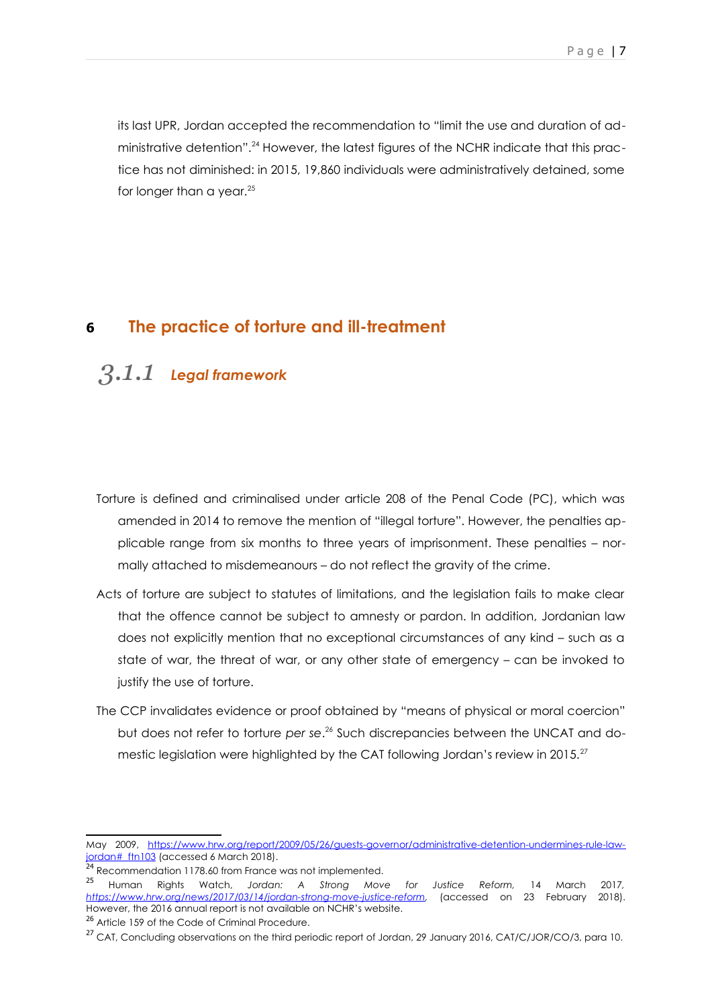its last UPR, Jordan accepted the recommendation to "limit the use and duration of administrative detention".[24](#page-5-0) However, the latest figures of the NCHR indicate that this practice has not diminished: in 2015, 19,860 individuals were administratively detained, some for longer than a year.<sup>[25](#page-5-1)</sup>

#### **6 The practice of torture and ill-treatment**

### *3.1.1 Legal framework*

- Torture is defined and criminalised under article 208 of the Penal Code (PC), which was amended in 2014 to remove the mention of "illegal torture". However, the penalties applicable range from six months to three years of imprisonment. These penalties – normally attached to misdemeanours – do not reflect the gravity of the crime.
- Acts of torture are subject to statutes of limitations, and the legislation fails to make clear that the offence cannot be subject to amnesty or pardon. In addition, Jordanian law does not explicitly mention that no exceptional circumstances of any kind – such as a state of war, the threat of war, or any other state of emergency – can be invoked to justify the use of torture.
- The CCP invalidates evidence or proof obtained by "means of physical or moral coercion" but does not refer to torture *per se*. [26](#page-5-2) Such discrepancies between the UNCAT and do-mestic legislation were highlighted by the CAT following Jordan's review in 2015.<sup>[27](#page-5-3)</sup>

May 2009, [https://www.hrw.org/report/2009/05/26/guests-governor/administrative-detention-undermines-rule-law](https://www.hrw.org/report/2009/05/26/guests-governor/administrative-detention-undermines-rule-law-jordan#_ftn103)[jordan#\\_ftn103](https://www.hrw.org/report/2009/05/26/guests-governor/administrative-detention-undermines-rule-law-jordan#_ftn103) (accessed 6 March 2018).

<span id="page-5-0"></span><sup>&</sup>lt;sup>24</sup> Recommendation 1178.60 from France was not implemented.

<span id="page-5-1"></span><sup>25</sup> Human Rights Watch, *Jordan: A Strong Move for Justice Reform,* 14 March 2017*, [https://www.hrw.org/news/2017/03/14/jordan-strong-move-justice-reform,](https://www.hrw.org/news/2017/03/14/jordan-strong-move-justice-reform)* (accessed on 23 February 2018). However, the 2016 annual report is not available on NCHR's website.

<span id="page-5-2"></span><sup>&</sup>lt;sup>26</sup> Article 159 of the Code of Criminal Procedure.

<span id="page-5-3"></span><sup>&</sup>lt;sup>27</sup> CAT, Concluding observations on the third periodic report of Jordan, 29 January 2016, CAT/C/JOR/CO/3, para 10.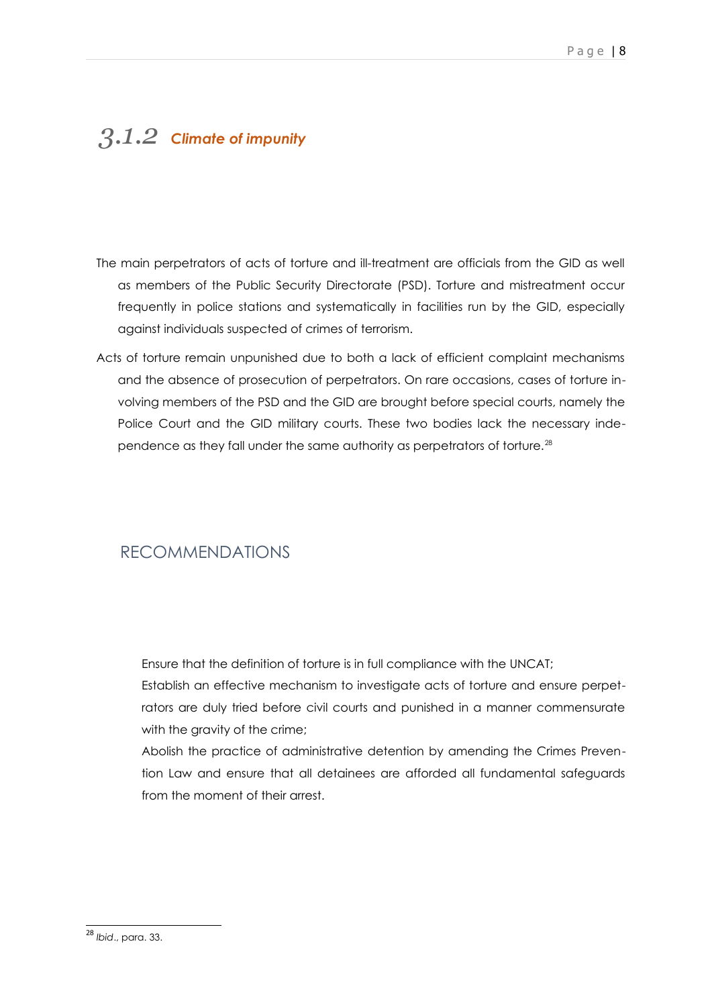## *3.1.2 Climate of impunity*

- The main perpetrators of acts of torture and ill-treatment are officials from the GID as well as members of the Public Security Directorate (PSD). Torture and mistreatment occur frequently in police stations and systematically in facilities run by the GID, especially against individuals suspected of crimes of terrorism.
- Acts of torture remain unpunished due to both a lack of efficient complaint mechanisms and the absence of prosecution of perpetrators. On rare occasions, cases of torture involving members of the PSD and the GID are brought before special courts, namely the Police Court and the GID military courts. These two bodies lack the necessary inde-pendence as they fall under the same authority as perpetrators of torture.<sup>[28](#page-6-0)</sup>

#### RECOMMENDATIONS

Ensure that the definition of torture is in full compliance with the UNCAT;

Establish an effective mechanism to investigate acts of torture and ensure perpetrators are duly tried before civil courts and punished in a manner commensurate with the gravity of the crime;

Abolish the practice of administrative detention by amending the Crimes Prevention Law and ensure that all detainees are afforded all fundamental safeguards from the moment of their arrest.

<span id="page-6-0"></span><sup>28</sup> *Ibid*., para. 33.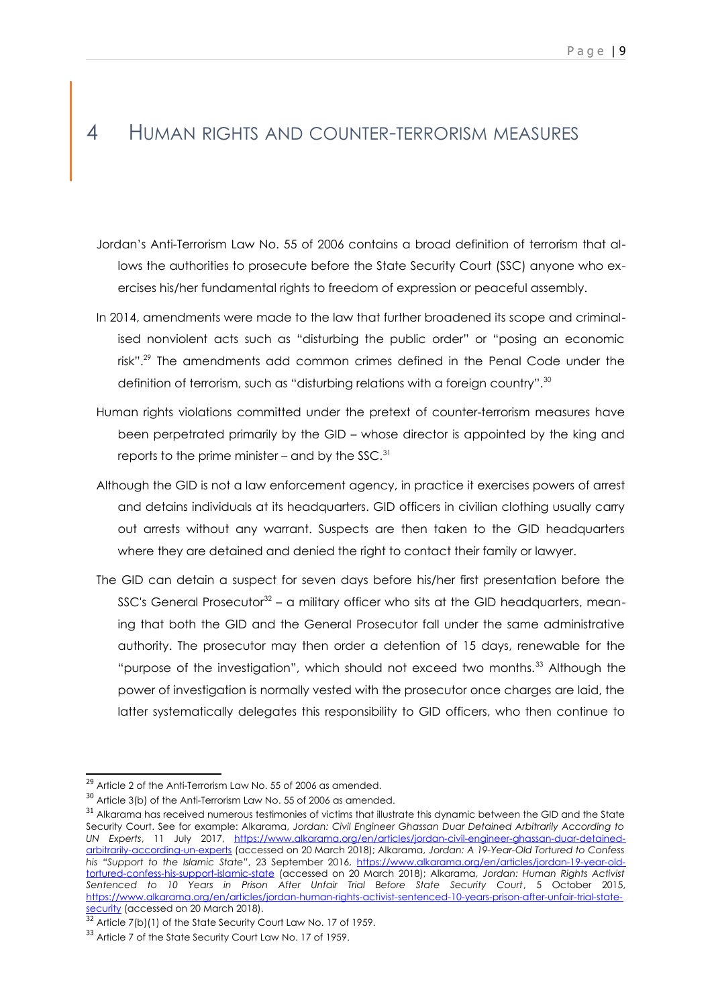### 4 HUMAN RIGHTS AND COUNTER-TERRORISM MEASURES

- Jordan's Anti-Terrorism Law No. 55 of 2006 contains a broad definition of terrorism that allows the authorities to prosecute before the State Security Court (SSC) anyone who exercises his/her fundamental rights to freedom of expression or peaceful assembly.
- In 2014, amendments were made to the law that further broadened its scope and criminalised nonviolent acts such as "disturbing the public order" or "posing an economic risk".<sup>[29](#page-7-0)</sup> The amendments add common crimes defined in the Penal Code under the definition of terrorism, such as "disturbing relations with a foreign country".<sup>[30](#page-7-1)</sup>
- Human rights violations committed under the pretext of counter-terrorism measures have been perpetrated primarily by the GID – whose director is appointed by the king and reports to the prime minister – and by the SSC.<sup>[31](#page-7-2)</sup>
- Although the GID is not a law enforcement agency, in practice it exercises powers of arrest and detains individuals at its headquarters. GID officers in civilian clothing usually carry out arrests without any warrant. Suspects are then taken to the GID headquarters where they are detained and denied the right to contact their family or lawyer.
- The GID can detain a suspect for seven days before his/her first presentation before the SSC's General Prosecutor<sup>[32](#page-7-3)</sup> – a military officer who sits at the GID headquarters, meaning that both the GID and the General Prosecutor fall under the same administrative authority. The prosecutor may then order a detention of 15 days, renewable for the "purpose of the investigation", which should not exceed two months.<sup>[33](#page-7-4)</sup> Although the power of investigation is normally vested with the prosecutor once charges are laid, the latter systematically delegates this responsibility to GID officers, who then continue to

<span id="page-7-0"></span><sup>&</sup>lt;sup>29</sup> Article 2 of the Anti-Terrorism Law No. 55 of 2006 as amended.

<span id="page-7-1"></span><sup>30</sup> Article 3(b) of the Anti-Terrorism Law No. 55 of 2006 as amended.

<span id="page-7-2"></span><sup>&</sup>lt;sup>31</sup> Alkarama has received numerous testimonies of victims that illustrate this dynamic between the GID and the State Security Court. See for example: Alkarama, *Jordan: Civil Engineer Ghassan Duar Detained Arbitrarily According to UN Experts*, 11 July 2017, [https://www.alkarama.org/en/articles/jordan-civil-engineer-ghassan-duar-detained](https://www.alkarama.org/en/articles/jordan-civil-engineer-ghassan-duar-detained-arbitrarily-according-un-experts)[arbitrarily-according-un-experts](https://www.alkarama.org/en/articles/jordan-civil-engineer-ghassan-duar-detained-arbitrarily-according-un-experts) (accessed on 20 March 2018); Alkarama, *Jordan: A 19-Year-Old Tortured to Confess his "Support to the Islamic State"*, 23 September 2016, [https://www.alkarama.org/en/articles/jordan-19-year-old](https://www.alkarama.org/en/articles/jordan-19-year-old-tortured-confess-his-support-islamic-state)[tortured-confess-his-support-islamic-state](https://www.alkarama.org/en/articles/jordan-19-year-old-tortured-confess-his-support-islamic-state) (accessed on 20 March 2018); Alkarama, *Jordan: Human Rights Activist Sentenced to 10 Years in Prison After Unfair Trial Before State Security Court*, 5 October 2015, [https://www.alkarama.org/en/articles/jordan-human-rights-activist-sentenced-10-years-prison-after-unfair-trial-state](https://www.alkarama.org/en/articles/jordan-human-rights-activist-sentenced-10-years-prison-after-unfair-trial-state-security)[security](https://www.alkarama.org/en/articles/jordan-human-rights-activist-sentenced-10-years-prison-after-unfair-trial-state-security) (accessed on 20 March 2018).

<span id="page-7-3"></span><sup>32</sup> Article 7(b)(1) of the State Security Court Law No. 17 of 1959.

<span id="page-7-4"></span><sup>33</sup> Article 7 of the State Security Court Law No. 17 of 1959.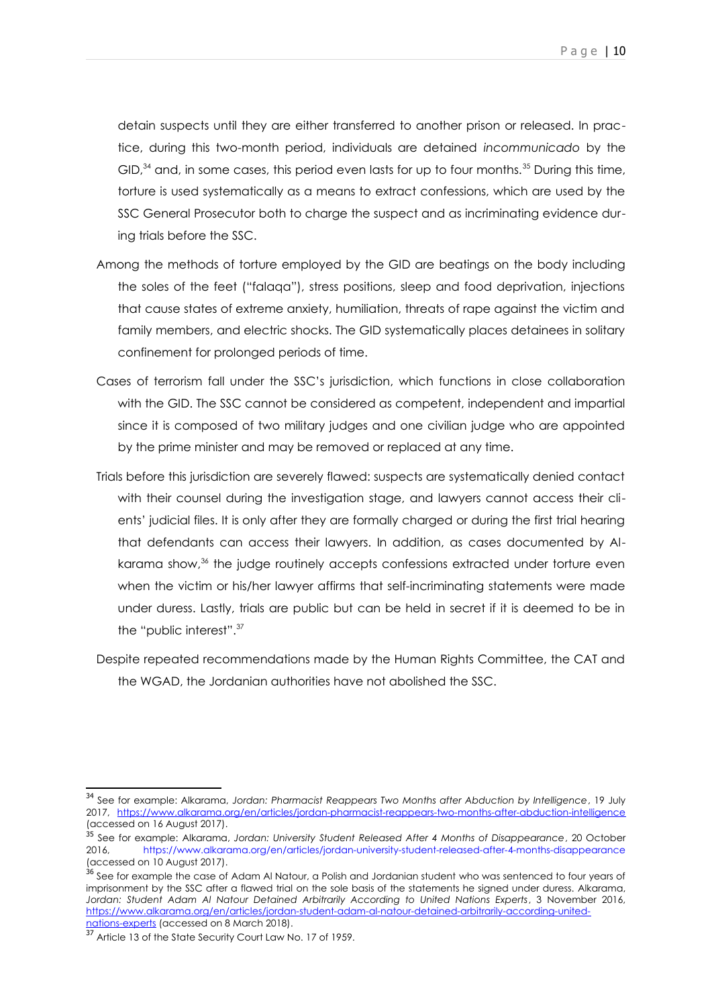detain suspects until they are either transferred to another prison or released. In practice, during this two-month period, individuals are detained *incommunicado* by the GID, $34$  and, in some cases, this period even lasts for up to four months.  $35$  During this time, torture is used systematically as a means to extract confessions, which are used by the SSC General Prosecutor both to charge the suspect and as incriminating evidence during trials before the SSC.

- Among the methods of torture employed by the GID are beatings on the body including the soles of the feet ("falaqa"), stress positions, sleep and food deprivation, injections that cause states of extreme anxiety, humiliation, threats of rape against the victim and family members, and electric shocks. The GID systematically places detainees in solitary confinement for prolonged periods of time.
- Cases of terrorism fall under the SSC's jurisdiction, which functions in close collaboration with the GID. The SSC cannot be considered as competent, independent and impartial since it is composed of two military judges and one civilian judge who are appointed by the prime minister and may be removed or replaced at any time.
- Trials before this jurisdiction are severely flawed: suspects are systematically denied contact with their counsel during the investigation stage, and lawyers cannot access their clients' judicial files. It is only after they are formally charged or during the first trial hearing that defendants can access their lawyers. In addition, as cases documented by Al-karama show,<sup>[36](#page-8-2)</sup> the judge routinely accepts confessions extracted under torture even when the victim or his/her lawyer affirms that self-incriminating statements were made under duress. Lastly, trials are public but can be held in secret if it is deemed to be in the "public interest".[37](#page-8-3)
- Despite repeated recommendations made by the Human Rights Committee, the CAT and the WGAD, the Jordanian authorities have not abolished the SSC.

<span id="page-8-0"></span><sup>34</sup> See for example: Alkarama, *Jordan: Pharmacist Reappears Two Months after Abduction by Intelligence*, 19 July 2017,<https://www.alkarama.org/en/articles/jordan-pharmacist-reappears-two-months-after-abduction-intelligence> (accessed on 16 August 2017).

<span id="page-8-1"></span><sup>35</sup> See for example: Alkarama, *Jordan: University Student Released After 4 Months of Disappearance*, 20 October 2016, https://www.alkarama.org/en/articles/jordan-university-student-released-after-4-months-disappearance (accessed on 10 August 2017).

<span id="page-8-2"></span><sup>&</sup>lt;sup>36</sup> See for example the case of Adam Al Natour, a Polish and Jordanian student who was sentenced to four years of imprisonment by the SSC after a flawed trial on the sole basis of the statements he signed under duress. Alkarama, *Jordan: Student Adam Al Natour Detained Arbitrarily According to United Nations Experts*, 3 November 2016, [https://www.alkarama.org/en/articles/jordan-student-adam-al-natour-detained-arbitrarily-according-united](https://www.alkarama.org/en/articles/jordan-student-adam-al-natour-detained-arbitrarily-according-united-nations-experts)[nations-experts](https://www.alkarama.org/en/articles/jordan-student-adam-al-natour-detained-arbitrarily-according-united-nations-experts) (accessed on 8 March 2018).

<span id="page-8-3"></span><sup>&</sup>lt;sup>37</sup> Article 13 of the State Security Court Law No. 17 of 1959.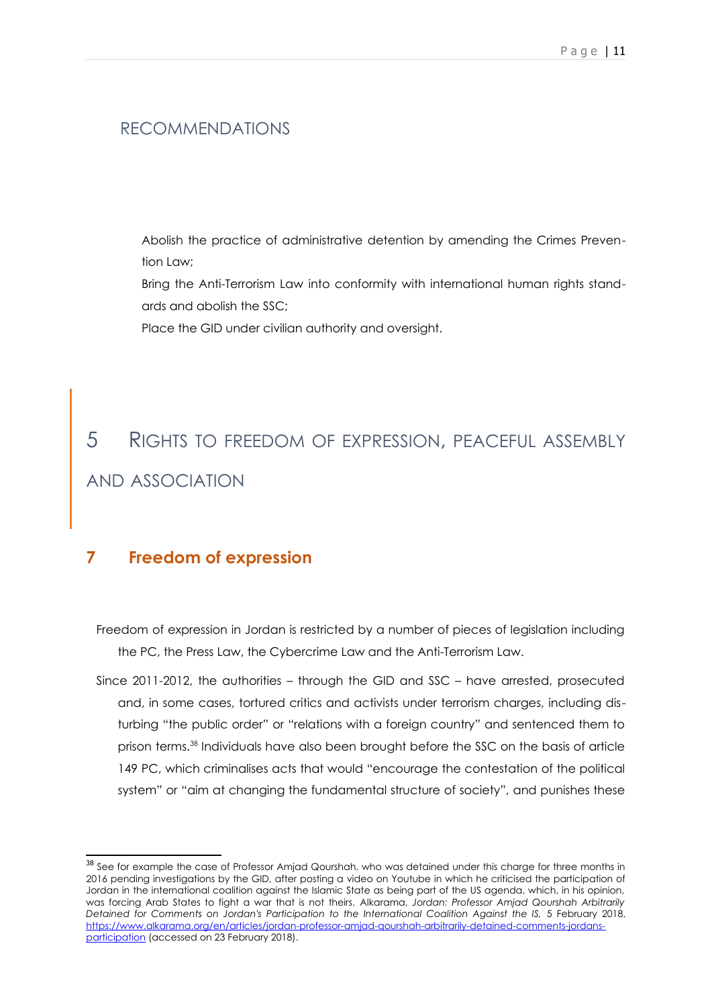#### RECOMMENDATIONS

Abolish the practice of administrative detention by amending the Crimes Prevention Law;

Bring the Anti-Terrorism Law into conformity with international human rights standards and abolish the SSC;

Place the GID under civilian authority and oversight.

# 5 RIGHTS TO FREEDOM OF EXPRESSION, PEACEFUL ASSEMBLY AND ASSOCIATION

#### **7 Freedom of expression**

Freedom of expression in Jordan is restricted by a number of pieces of legislation including the PC, the Press Law, the Cybercrime Law and the Anti-Terrorism Law.

Since 2011-2012, the authorities – through the GID and SSC – have arrested, prosecuted and, in some cases, tortured critics and activists under terrorism charges, including disturbing "the public order" or "relations with a foreign country" and sentenced them to prison terms.[38](#page-9-0) Individuals have also been brought before the SSC on the basis of article 149 PC, which criminalises acts that would "encourage the contestation of the political system" or "aim at changing the fundamental structure of society", and punishes these

<span id="page-9-0"></span><sup>&</sup>lt;sup>38</sup> See for example the case of Professor Amjad Qourshah, who was detained under this charge for three months in 2016 pending investigations by the GID, after posting a video on Youtube in which he criticised the participation of Jordan in the international coalition against the Islamic State as being part of the US agenda, which, in his opinion, was forcing Arab States to fight a war that is not theirs. Alkarama, *Jordan: Professor Amjad Qourshah Arbitrarily* Detained for Comments on Jordan's Participation to the International Coalition Against the IS, 5 February 2018, [https://www.alkarama.org/en/articles/jordan-professor-amjad-qourshah-arbitrarily-detained-comments-jordans](https://www.alkarama.org/en/articles/jordan-professor-amjad-qourshah-arbitrarily-detained-comments-jordans-participation)[participation](https://www.alkarama.org/en/articles/jordan-professor-amjad-qourshah-arbitrarily-detained-comments-jordans-participation) (accessed on 23 February 2018).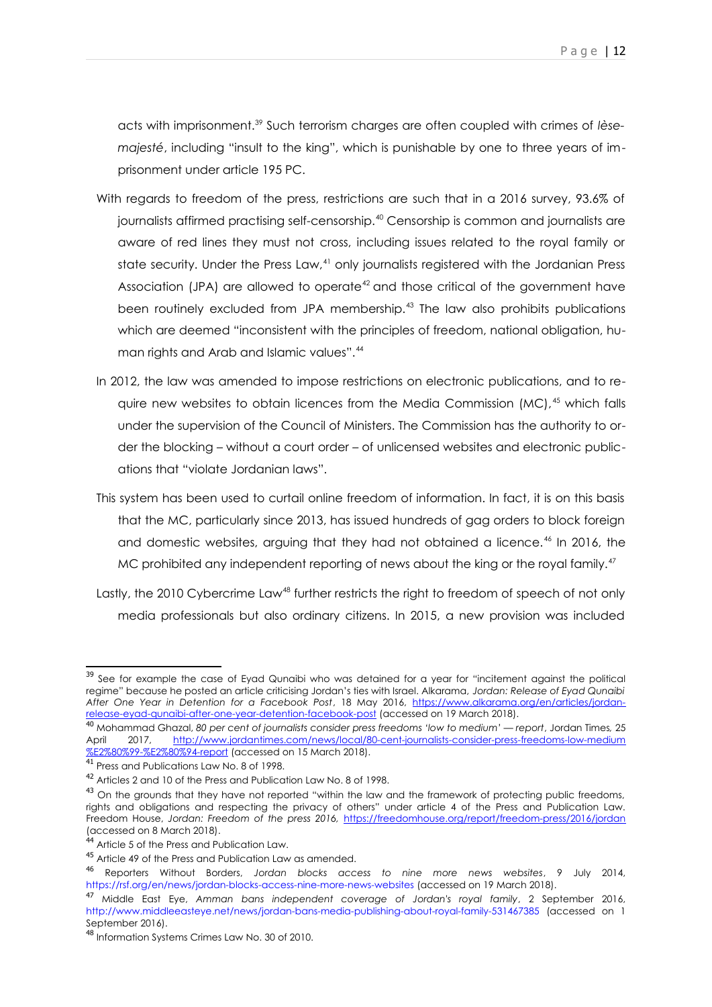acts with imprisonment.[39](#page-10-0) Such terrorism charges are often coupled with crimes of *lèsemajesté*, including "insult to the king", which is punishable by one to three years of imprisonment under article 195 PC.

- With regards to freedom of the press, restrictions are such that in a 2016 survey, 93.6% of journalists affirmed practising self-censorship.<sup>[40](#page-10-1)</sup> Censorship is common and journalists are aware of red lines they must not cross, including issues related to the royal family or state security. Under the Press Law, $4<sup>1</sup>$  only journalists registered with the Jordanian Press Association (JPA) are allowed to operate<sup> $42$ </sup> and those critical of the government have been routinely excluded from JPA membership.<sup>[43](#page-10-4)</sup> The law also prohibits publications which are deemed "inconsistent with the principles of freedom, national obligation, hu-man rights and Arab and Islamic values".<sup>[44](#page-10-5)</sup>
- In 2012, the law was amended to impose restrictions on electronic publications, and to require new websites to obtain licences from the Media Commission  $(MC)$ ,<sup>[45](#page-10-6)</sup> which falls under the supervision of the Council of Ministers. The Commission has the authority to order the blocking – without a court order – of unlicensed websites and electronic publications that "violate Jordanian laws".
- This system has been used to curtail online freedom of information. In fact, it is on this basis that the MC, particularly since 2013, has issued hundreds of gag orders to block foreign and domestic websites, arguing that they had not obtained a licence.<sup>[46](#page-10-7)</sup> In 2016, the MC prohibited any independent reporting of news about the king or the royal family.<sup>[47](#page-10-8)</sup>
- Lastly, the 2010 Cybercrime Law<sup>[48](#page-10-9)</sup> further restricts the right to freedom of speech of not only media professionals but also ordinary citizens. In 2015, a new provision was included

<span id="page-10-0"></span><sup>&</sup>lt;sup>39</sup> See for example the case of Eyad Qunaibi who was detained for a year for "incitement against the political regime" because he posted an article criticising Jordan's ties with Israel. Alkarama, *Jordan: Release of Eyad Qunaibi After One Year in Detention for a Facebook Post*, 18 May 2016, [https://www.alkarama.org/en/articles/jordan](https://www.alkarama.org/en/articles/jordan-release-eyad-qunaibi-after-one-year-detention-facebook-post)[release-eyad-qunaibi-after-one-year-detention-facebook-post](https://www.alkarama.org/en/articles/jordan-release-eyad-qunaibi-after-one-year-detention-facebook-post) (accessed on 19 March 2018).

<span id="page-10-1"></span><sup>40</sup> Mohammad Ghazal, *80 per cent of journalists consider press freedoms 'low to medium' — report*, Jordan Times*,* 25 April 2017, [http://www.jordantimes.com/news/local/80-cent-journalists-consider-press-freedoms-low-medium](http://www.jordantimes.com/news/local/80-cent-journalists-consider-press-freedoms-low-medium%E2%80%99-%E2%80%94-report) [%E2%80%99-%E2%80%94-report](http://www.jordantimes.com/news/local/80-cent-journalists-consider-press-freedoms-low-medium%E2%80%99-%E2%80%94-report) (accessed on 15 March 2018).

<span id="page-10-2"></span> $\overline{41}$  Press and Publications Law No. 8 of 1998.

<span id="page-10-3"></span><sup>42</sup> Articles 2 and 10 of the Press and Publication Law No. 8 of 1998.

<span id="page-10-4"></span><sup>&</sup>lt;sup>43</sup> On the grounds that they have not reported "within the law and the framework of protecting public freedoms, rights and obligations and respecting the privacy of others" under article 4 of the Press and Publication Law. Freedom House, *Jordan: Freedom of the press 2016,* <https://freedomhouse.org/report/freedom-press/2016/jordan> (accessed on 8 March 2018).

<span id="page-10-5"></span><sup>&</sup>lt;sup>44</sup> Article 5 of the Press and Publication Law.

<span id="page-10-6"></span><sup>45</sup> Article 49 of the Press and Publication Law as amended.

<span id="page-10-7"></span><sup>46</sup> Reporters Without Borders, *Jordan blocks access to nine more news websites*, 9 July 2014, https://rsf.org/en/news/jordan-blocks-access-nine-more-news-websites (accessed on 19 March 2018).

<span id="page-10-8"></span><sup>47</sup> Middle East Eye, *Amman bans independent coverage of Jordan's royal family*, 2 September 2016, http://www.middleeasteye.net/news/jordan-bans-media-publishing-about-royal-family-531467385 (accessed on 1 September 2016).

<span id="page-10-9"></span><sup>48</sup> Information Systems Crimes Law No. 30 of 2010.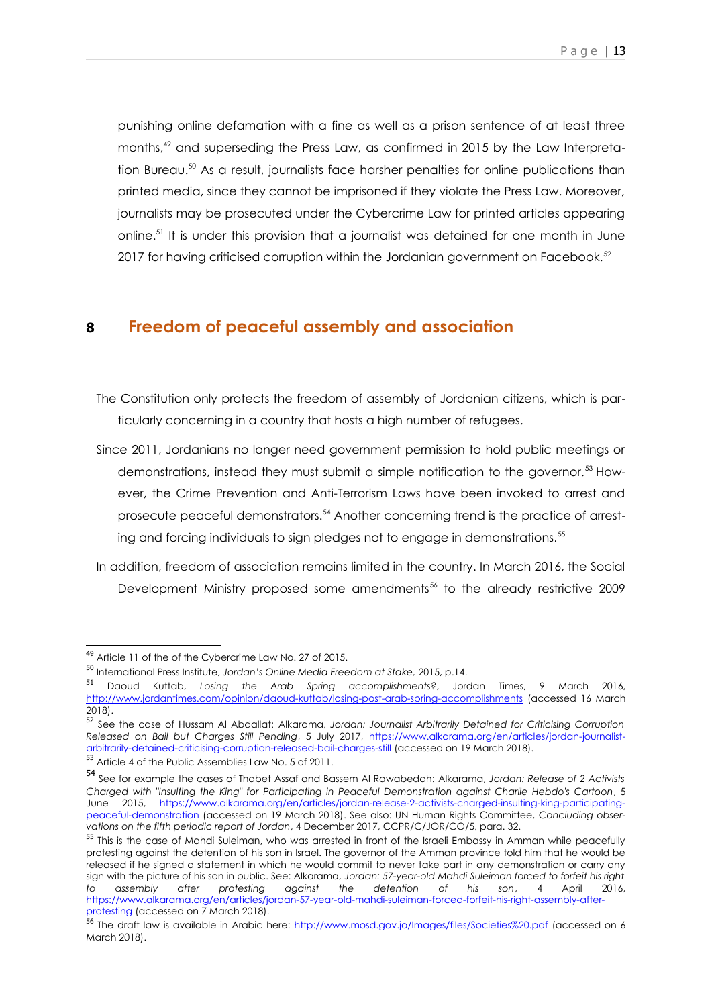punishing online defamation with a fine as well as a prison sentence of at least three months,[49](#page-11-0) and superseding the Press Law, as confirmed in 2015 by the Law Interpretation Bureau.[50](#page-11-1) As a result, journalists face harsher penalties for online publications than printed media, since they cannot be imprisoned if they violate the Press Law. Moreover, journalists may be prosecuted under the Cybercrime Law for printed articles appearing online.[51](#page-11-2) It is under this provision that a journalist was detained for one month in June 2017 for having criticised corruption within the Jordanian government on Facebook.<sup>[52](#page-11-3)</sup>

#### **8 Freedom of peaceful assembly and association**

- The Constitution only protects the freedom of assembly of Jordanian citizens, which is particularly concerning in a country that hosts a high number of refugees.
- Since 2011, Jordanians no longer need government permission to hold public meetings or demonstrations, instead they must submit a simple notification to the governor.[53](#page-11-4) However, the Crime Prevention and Anti-Terrorism Laws have been invoked to arrest and prosecute peaceful demonstrators.<sup>[54](#page-11-5)</sup> Another concerning trend is the practice of arresting and forcing individuals to sign pledges not to engage in demonstrations.[55](#page-11-6)
- In addition, freedom of association remains limited in the country. In March 2016, the Social Development Ministry proposed some amendments<sup>[56](#page-11-7)</sup> to the already restrictive 2009

<span id="page-11-0"></span><sup>49</sup> Article 11 of the of the Cybercrime Law No. 27 of 2015.

<span id="page-11-1"></span><sup>50</sup> International Press Institute, *Jordan's Online Media Freedom at Stake,* 2015, p.14.

<span id="page-11-2"></span><sup>51</sup> Daoud Kuttab, *Losing the Arab Spring accomplishments?*, Jordan Times, 9 March 2016, <http://www.jordantimes.com/opinion/daoud-kuttab/losing-post-arab-spring-accomplishments> (accessed 16 March 2018).

<span id="page-11-3"></span><sup>52</sup> See the case of Hussam Al Abdallat: Alkarama, *Jordan: Journalist Arbitrarily Detained for Criticising Corruption Released on Bail but Charges Still Pending*, 5 July 2017, https://www.alkarama.org/en/articles/jordan-journalistarbitrarily-detained-criticising-corruption-released-bail-charges-still (accessed on 19 March 2018).

<span id="page-11-4"></span><sup>53</sup> Article 4 of the Public Assemblies Law No. 5 of 2011.

<span id="page-11-5"></span><sup>54</sup> See for example the cases of Thabet Assaf and Bassem Al Rawabedah: Alkarama, *Jordan: Release of 2 Activists Charged with "Insulting the King" for Participating in Peaceful Demonstration against Charlie Hebdo's Cartoon*, 5 June 2015, https://www.alkarama.org/en/articles/jordan-release-2-activists-charged-insulting-king-participatingpeaceful-demonstration (accessed on 19 March 2018). See also: UN Human Rights Committee, *Concluding observations on the fifth periodic report of Jordan*, 4 December 2017, CCPR/C/JOR/CO/5, para. 32.

<span id="page-11-6"></span><sup>&</sup>lt;sup>55</sup> This is the case of Mahdi Suleiman, who was arrested in front of the Israeli Embassy in Amman while peacefully protesting against the detention of his son in Israel. The governor of the Amman province told him that he would be released if he signed a statement in which he would commit to never take part in any demonstration or carry any sign with the picture of his son in public. See: Alkarama, *Jordan: 57-year-old Mahdi Suleiman forced to forfeit his right to assembly after protesting against the detention of his son*, 4 April 2016, [https://www.alkarama.org/en/articles/jordan-57-year-old-mahdi-suleiman-forced-forfeit-his-right-assembly-after](https://www.alkarama.org/en/articles/jordan-57-year-old-mahdi-suleiman-forced-forfeit-his-right-assembly-after-protesting)[protesting](https://www.alkarama.org/en/articles/jordan-57-year-old-mahdi-suleiman-forced-forfeit-his-right-assembly-after-protesting) (accessed on 7 March 2018).

<span id="page-11-7"></span><sup>56</sup> The draft law is available in Arabic here:<http://www.mosd.gov.jo/Images/files/Societies%20.pdf>(accessed on 6 March 2018).